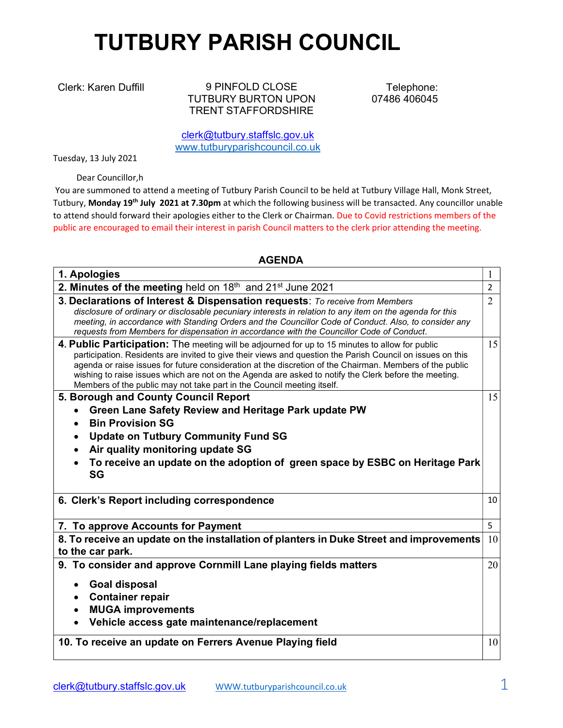## TUTBURY PARISH COUNCIL

Clerk: Karen Duffill 9 PINFOLD CLOSE TUTBURY BURTON UPON TRENT STAFFORDSHIRE

Telephone: 07486 406045

clerk@tutbury.staffslc.gov.uk www.tutburyparishcouncil.co.uk

Tuesday, 13 July 2021

Dear Councillor,h

 You are summoned to attend a meeting of Tutbury Parish Council to be held at Tutbury Village Hall, Monk Street, Tutbury, Monday 19<sup>th</sup> July 2021 at 7.30pm at which the following business will be transacted. Any councillor unable to attend should forward their apologies either to the Clerk or Chairman. Due to Covid restrictions members of the public are encouraged to email their interest in parish Council matters to the clerk prior attending the meeting.

## AGENDA

| 1. Apologies                                                                                                                                                                                                                                                                                                                                                                                                                                                                                                 | 1              |
|--------------------------------------------------------------------------------------------------------------------------------------------------------------------------------------------------------------------------------------------------------------------------------------------------------------------------------------------------------------------------------------------------------------------------------------------------------------------------------------------------------------|----------------|
| 2. Minutes of the meeting held on 18th and 21st June 2021                                                                                                                                                                                                                                                                                                                                                                                                                                                    | $\overline{2}$ |
| 3. Declarations of Interest & Dispensation requests: To receive from Members<br>disclosure of ordinary or disclosable pecuniary interests in relation to any item on the agenda for this<br>meeting, in accordance with Standing Orders and the Councillor Code of Conduct. Also, to consider any<br>requests from Members for dispensation in accordance with the Councillor Code of Conduct.                                                                                                               | $\overline{2}$ |
| 4. Public Participation: The meeting will be adjourned for up to 15 minutes to allow for public<br>participation. Residents are invited to give their views and question the Parish Council on issues on this<br>agenda or raise issues for future consideration at the discretion of the Chairman. Members of the public<br>wishing to raise issues which are not on the Agenda are asked to notify the Clerk before the meeting.<br>Members of the public may not take part in the Council meeting itself. | 15             |
| 5. Borough and County Council Report                                                                                                                                                                                                                                                                                                                                                                                                                                                                         | 15             |
| Green Lane Safety Review and Heritage Park update PW                                                                                                                                                                                                                                                                                                                                                                                                                                                         |                |
| <b>Bin Provision SG</b>                                                                                                                                                                                                                                                                                                                                                                                                                                                                                      |                |
| <b>Update on Tutbury Community Fund SG</b><br>$\bullet$                                                                                                                                                                                                                                                                                                                                                                                                                                                      |                |
| Air quality monitoring update SG                                                                                                                                                                                                                                                                                                                                                                                                                                                                             |                |
| To receive an update on the adoption of green space by ESBC on Heritage Park<br><b>SG</b>                                                                                                                                                                                                                                                                                                                                                                                                                    |                |
| 6. Clerk's Report including correspondence                                                                                                                                                                                                                                                                                                                                                                                                                                                                   | 10             |
| 7. To approve Accounts for Payment                                                                                                                                                                                                                                                                                                                                                                                                                                                                           | 5              |
| 8. To receive an update on the installation of planters in Duke Street and improvements                                                                                                                                                                                                                                                                                                                                                                                                                      | 10             |
| to the car park.                                                                                                                                                                                                                                                                                                                                                                                                                                                                                             |                |
| 9. To consider and approve Cornmill Lane playing fields matters                                                                                                                                                                                                                                                                                                                                                                                                                                              | 20             |
| <b>Goal disposal</b>                                                                                                                                                                                                                                                                                                                                                                                                                                                                                         |                |
|                                                                                                                                                                                                                                                                                                                                                                                                                                                                                                              |                |
|                                                                                                                                                                                                                                                                                                                                                                                                                                                                                                              |                |
| <b>Container repair</b><br>$\bullet$                                                                                                                                                                                                                                                                                                                                                                                                                                                                         |                |
| <b>MUGA improvements</b>                                                                                                                                                                                                                                                                                                                                                                                                                                                                                     |                |
| Vehicle access gate maintenance/replacement                                                                                                                                                                                                                                                                                                                                                                                                                                                                  |                |
| 10. To receive an update on Ferrers Avenue Playing field                                                                                                                                                                                                                                                                                                                                                                                                                                                     | 10             |